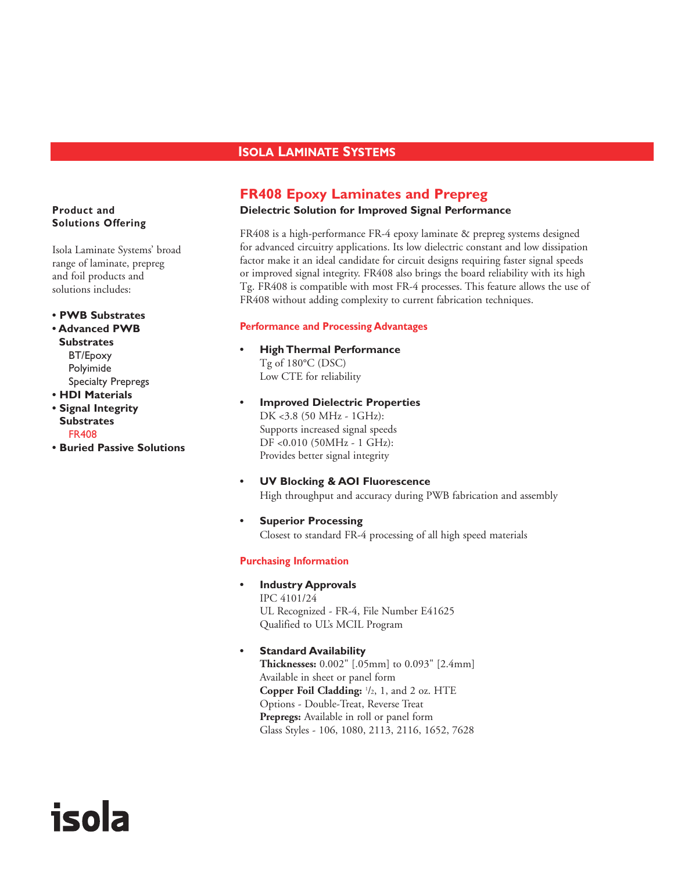# **ISOLA LAMINATE SYSTEMS**

# **FR408 Epoxy Laminates and Prepreg**

#### **Dielectric Solution for Improved Signal Performance**

FR408 is a high-performance FR-4 epoxy laminate & prepreg systems designed for advanced circuitry applications. Its low dielectric constant and low dissipation factor make it an ideal candidate for circuit designs requiring faster signal speeds or improved signal integrity. FR408 also brings the board reliability with its high Tg. FR408 is compatible with most FR-4 processes. This feature allows the use of FR408 without adding complexity to current fabrication techniques.

#### **Performance and Processing Advantages**

- **High Thermal Performance** Tg of 180°C (DSC) Low CTE for reliability
- **Improved Dielectric Properties** DK <3.8 (50 MHz - 1GHz): Supports increased signal speeds DF <0.010 (50MHz - 1 GHz): Provides better signal integrity
- **UV Blocking & AOI Fluorescence** High throughput and accuracy during PWB fabrication and assembly
- **Superior Processing** Closest to standard FR-4 processing of all high speed materials

#### **Purchasing Information**

**• Industry Approvals**

IPC 4101/24 UL Recognized - FR-4, File Number E41625 Qualified to UL's MCIL Program

## **• Standard Availability**

**Thicknesses:** 0.002" [.05mm] to 0.093" [2.4mm] Available in sheet or panel form **Copper Foil Cladding:** <sup>1</sup> /2, 1, and 2 oz. HTE Options - Double-Treat, Reverse Treat **Prepregs:** Available in roll or panel form Glass Styles - 106, 1080, 2113, 2116, 1652, 7628

## **Product and Solutions Offering**

Isola Laminate Systems' broad range of laminate, prepreg and foil products and solutions includes:

**• PWB Substrates**

- **Advanced PWB Substrates** BT/Epoxy Polyimide Specialty Prepregs
- **HDI Materials • Signal Integrity Substrates** FR408

isola

**• Buried Passive Solutions**